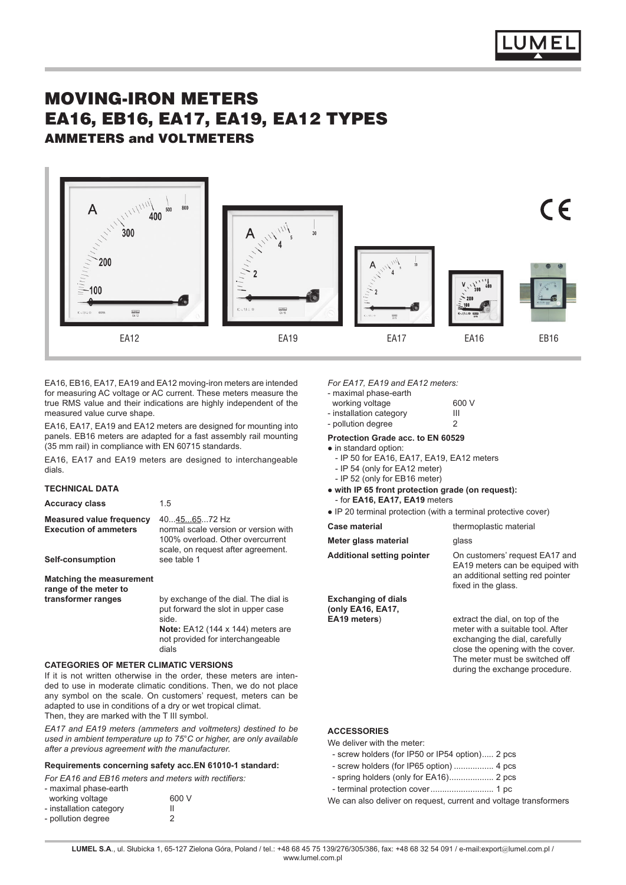

# MOVING-IRON METERS EA16, EB16, EA17, EA19, EA12 TYPES AMMETERS and VOLTMETERS



EA16, EB16, EA17, EA19 and EA12 moving-iron meters are intended for measuring AC voltage or AC current. These meters measure the true RMS value and their indications are highly independent of the measured value curve shape.

EA16, EA17, EA19 and EA12 meters are designed for mounting into panels. EB16 meters are adapted for a fast assembly rail mounting (35 mm rail) in compliance with EN 60715 standards.

EA16, EA17 and EA19 meters are designed to interchangeable dials.

# **TECHNICAL DATA**

| <b>Accuracy class</b>                                                               | 1.5                                                                                                                                                                     |
|-------------------------------------------------------------------------------------|-------------------------------------------------------------------------------------------------------------------------------------------------------------------------|
| <b>Measured value frequency</b><br><b>Execution of ammeters</b><br>Self-consumption | 40456572 Hz<br>normal scale version or version with<br>100% overload. Other overcurrent<br>scale, on request after agreement.<br>see table 1                            |
| <b>Matching the measurement</b><br>range of the meter to                            |                                                                                                                                                                         |
| transformer ranges                                                                  | by exchange of the dial. The dial is<br>put forward the slot in upper case<br>side.<br>Note: $EA12$ (144 x 144) meters are<br>not provided for interchangeable<br>dials |

### **CATEGORIES OF METER CLIMATIC VERSIONS**

If it is not written otherwise in the order, these meters are intended to use in moderate climatic conditions. Then, we do not place any symbol on the scale. On customers' request, meters can be adapted to use in conditions of a dry or wet tropical climat. Then, they are marked with the T III symbol.

*EA17 and EA19 meters (ammeters and voltmeters) destined to be used in ambient temperature up to 75°C or higher, are only available after a previous agreement with the manufacturer.*

### **Requirements concerning safety acc.EN 61010-1 standard:**

*For EA16 and EB16 meters and meters with rectifiers:*

| - maximal phase-earth   |       |
|-------------------------|-------|
| working voltage         | 600 V |
| - installation category | Ш     |
| - pollution degree      | 2     |

### *For EA17, EA19 and EA12 meters:*

- maximal phase-earth

| working voltage         | 600 V |
|-------------------------|-------|
| - inetallation estegony | ш     |

| - installation category | Ш |
|-------------------------|---|
| - pollution degree      |   |

#### **Protection Grade acc. to EN 60529**

- $\bullet$  in standard option:
	- IP 50 for EA16, EA17, EA19, EA12 meters
- IP 54 (only for EA12 meter)
- IP 52 (only for EB16 meter)
- $\bullet$  with IP 65 front protection grade (on request): - for **EA16, EA17, EA19** meters
- IP 20 terminal protection (with a terminal protective cover)

| Case material                                   | thermoplastic material                                                                                                                                                                                          |
|-------------------------------------------------|-----------------------------------------------------------------------------------------------------------------------------------------------------------------------------------------------------------------|
| Meter glass material                            | glass                                                                                                                                                                                                           |
| <b>Additional setting pointer</b>               | On customers' request EA17 and<br>EA19 meters can be equiped with<br>an additional setting red pointer<br>fixed in the glass.                                                                                   |
| <b>Exchanging of dials</b><br>(only EA16, EA17, |                                                                                                                                                                                                                 |
| EA19 meters)                                    | extract the dial, on top of the<br>meter with a suitable tool. After<br>exchanging the dial, carefully<br>close the opening with the cover.<br>The meter must be switched off<br>during the exchange procedure. |
|                                                 |                                                                                                                                                                                                                 |

## **ACCESSORIES**

We deliver with the meter:

- screw holders (for IP50 or IP54 option)..... 2 pcs
- screw holders (for IP65 option) ................. 4 pcs
- spring holders (only for EA16)................... 2 pcs
- terminal protection cover........................... 1 pc

We can also deliver on request, current and voltage transformers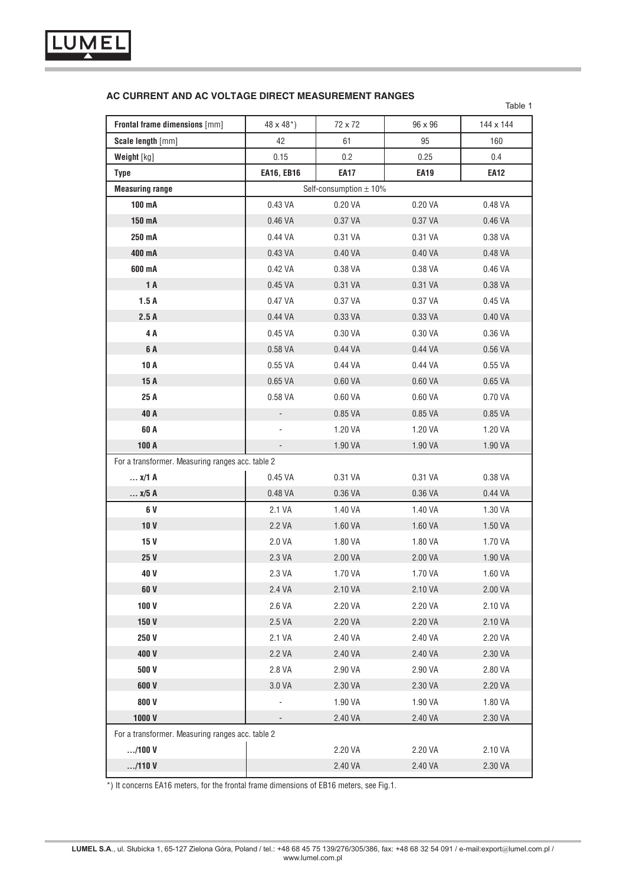

# **AC CURRENT AND AC VOLTAGE DIRECT MEASUREMENT RANGES**

|                                                  |                      |                            |             | Table 1     |
|--------------------------------------------------|----------------------|----------------------------|-------------|-------------|
| Frontal frame dimensions [mm]                    | $48 \times 48^{*}$ ) | 72 x 72                    | 96 x 96     | 144 x 144   |
| Scale length [mm]                                | 42                   | 61                         | 95          | 160         |
| Weight [kg]                                      | 0.15                 | 0.2                        | 0.25        | 0.4         |
| <b>Type</b>                                      | <b>EA16, EB16</b>    | <b>EA17</b>                | <b>EA19</b> | <b>EA12</b> |
| <b>Measuring range</b>                           |                      | Self-consumption $\pm$ 10% |             |             |
| 100 mA                                           | 0.43 VA              | 0.20 VA                    | 0.20 VA     | 0.48 VA     |
| 150 mA                                           | 0.46 VA              | 0.37 VA                    | 0.37 VA     | 0.46 VA     |
| 250 mA                                           | 0.44 VA              | 0.31 VA                    | 0.31 VA     | 0.38 VA     |
| 400 mA                                           | 0.43 VA              | 0.40 VA                    | 0.40 VA     | 0.48 VA     |
| 600 mA                                           | 0.42 VA              | 0.38 VA                    | 0.38 VA     | 0.46 VA     |
| 1 A                                              | 0.45 VA              | 0.31 VA                    | 0.31 VA     | 0.38 VA     |
| 1.5A                                             | 0.47 VA              | 0.37 VA                    | 0.37 VA     | 0.45 VA     |
| 2.5A                                             | 0.44 VA              | 0.33 VA                    | 0.33 VA     | 0.40 VA     |
| 4 A                                              | 0.45 VA              | 0.30 VA                    | 0.30 VA     | 0.36 VA     |
| 6 A                                              | 0.58 VA              | 0.44 VA                    | 0.44 VA     | 0.56 VA     |
| 10 A                                             | 0.55 VA              | 0.44 VA                    | 0.44 VA     | 0.55 VA     |
| 15 A                                             | 0.65 VA              | 0.60 VA                    | 0.60 VA     | 0.65 VA     |
| 25 A                                             | 0.58 VA              | 0.60 VA                    | 0.60 VA     | 0.70 VA     |
| 40 A                                             | $\blacksquare$       | 0.85 VA                    | 0.85 VA     | 0.85 VA     |
| 60 A                                             | ÷,                   | 1.20 VA                    | 1.20 VA     | 1.20 VA     |
| 100 A                                            | $\frac{1}{2}$        | 1.90 VA                    | 1.90 VA     | 1.90 VA     |
| For a transformer. Measuring ranges acc. table 2 |                      |                            |             |             |
| $x/1$ A                                          | 0.45 VA              | 0.31 VA                    | 0.31 VA     | 0.38 VA     |
| $x/5$ A                                          | 0.48 VA              | 0.36 VA                    | 0.36 VA     | 0.44 VA     |
| 6 V                                              | 2.1 VA               | 1.40 VA                    | 1.40 VA     | 1.30 VA     |
| 10 <sub>V</sub>                                  | 2.2 VA               | 1.60 VA                    | 1.60 VA     | 1.50 VA     |
| 15 V                                             | 2.0 VA               | 1.80 VA                    | 1.80 VA     | 1.70 VA     |
| 25 V                                             | 2.3 VA               | 2.00 VA                    | 2.00 VA     | 1.90 VA     |
| 40 V                                             | 2.3 VA               | 1.70 VA                    | 1.70 VA     | 1.60 VA     |
| 60 V                                             | 2.4 VA               | 2.10 VA                    | 2.10 VA     | 2.00 VA     |
| 100V                                             | 2.6 VA               | 2.20 VA                    | 2.20 VA     | 2.10 VA     |
| 150 V                                            | 2.5 VA               | 2.20 VA                    | 2.20 VA     | 2.10 VA     |
| 250 V                                            | 2.1 VA               | 2.40 VA                    | 2.40 VA     | 2.20 VA     |
| 400V                                             | 2.2 VA               | 2.40 VA                    | 2.40 VA     | 2.30 VA     |
| 500V                                             | 2.8 VA               | 2.90 VA                    | 2.90 VA     | 2.80 VA     |
| 600 V                                            | 3.0 VA               | 2.30 VA                    | 2.30 VA     | 2.20 VA     |
| 800V                                             |                      | 1.90 VA                    | 1.90 VA     | 1.80 VA     |
| 1000V                                            |                      | 2.40 VA                    | 2.40 VA     | 2.30 VA     |
| For a transformer. Measuring ranges acc. table 2 |                      |                            |             |             |
| /100V                                            |                      | 2.20 VA                    | 2.20 VA     | 2.10 VA     |
| /110V                                            |                      | 2.40 VA                    | 2.40 VA     | 2.30 VA     |

\*) It concerns EA16 meters, for the frontal frame dimensions of EB16 meters, see Fig.1.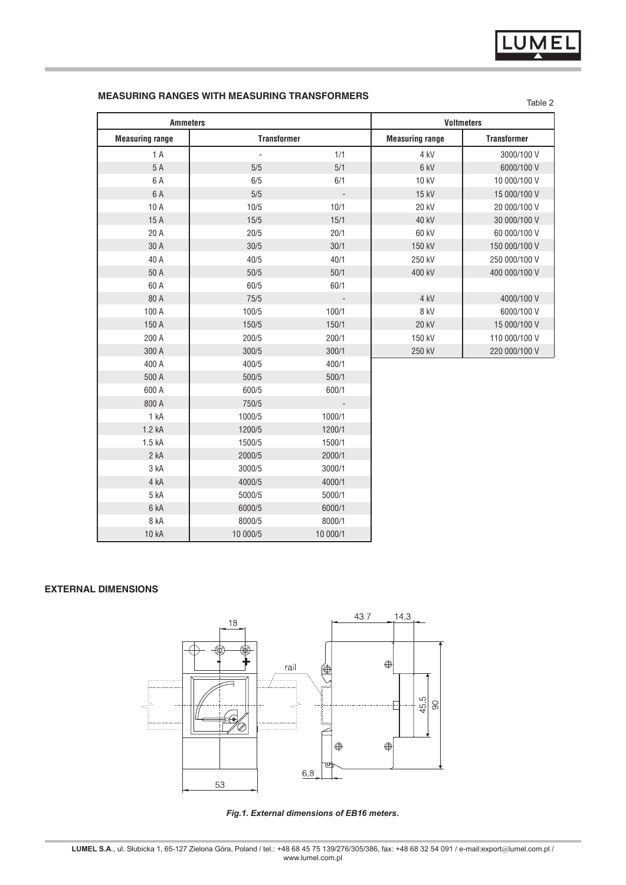# **MEASURING RANGES WITH MEASURING TRANSFORMERS**

| <b>Ammeters</b>        |                    |                          | <b>Voltmeters</b>      |                    |
|------------------------|--------------------|--------------------------|------------------------|--------------------|
| <b>Measuring range</b> | <b>Transformer</b> |                          | <b>Measuring range</b> | <b>Transformer</b> |
| 1A                     | $\blacksquare$     | 1/1                      | 4 kV                   | 3000/100 V         |
| 5 A                    | 5/5                | 5/1                      | 6 kV                   | 6000/100 V         |
| 6 A                    | 6/5                | 6/1                      | 10 kV                  | 10 000/100 V       |
| 6 A                    | 5/5                | $\overline{\phantom{a}}$ | 15 kV                  | 15 000/100 V       |
| 10 A                   | 10/5               | 10/1                     | 20 kV                  | 20 000/100 V       |
| 15 A                   | 15/5               | 15/1                     | 40 kV                  | 30 000/100 V       |
| 20 A                   | 20/5               | 20/1                     | 60 kV                  | 60 000/100 V       |
| 30 A                   | 30/5               | 30/1                     | 150 kV                 | 150 000/100 V      |
| 40 A                   | 40/5               | 40/1                     | 250 kV                 | 250 000/100 V      |
| 50 A                   | 50/5               | 50/1                     | 400 kV                 | 400 000/100 V      |
| 60 A                   | 60/5               | 60/1                     |                        |                    |
| 80 A                   | 75/5               | $\sim$                   | 4 kV                   | 4000/100 V         |
| 100 A                  | 100/5              | 100/1                    | 8 kV                   | 6000/100 V         |
| 150 A                  | 150/5              | 150/1                    | 20 kV                  | 15 000/100 V       |
| 200 A                  | 200/5              | 200/1                    | 150 kV                 | 110 000/100 V      |
| 300 A                  | 300/5              | 300/1                    | 250 kV                 | 220 000/100 V      |
| 400 A                  | 400/5              | 400/1                    |                        |                    |
| 500 A                  | 500/5              | 500/1                    |                        |                    |
| 600 A                  | 600/5              | 600/1                    |                        |                    |
| 800 A                  | 750/5              | $\overline{\phantom{a}}$ |                        |                    |
| 1 kA                   | 1000/5             | 1000/1                   |                        |                    |
| 1.2 kA                 | 1200/5             | 1200/1                   |                        |                    |
| 1.5 kA                 | 1500/5             | 1500/1                   |                        |                    |
| 2 kA                   | 2000/5             | 2000/1                   |                        |                    |
| 3 kA                   | 3000/5             | 3000/1                   |                        |                    |
| 4 kA                   | 4000/5             | 4000/1                   |                        |                    |
| 5 kA                   | 5000/5             | 5000/1                   |                        |                    |
| 6 kA                   | 6000/5             | 6000/1                   |                        |                    |
| 8 kA                   | 8000/5             | 8000/1                   |                        |                    |
| 10 kA                  | 10 000/5           | 10 000/1                 |                        |                    |

# **external dimensions**



*Fig.1. External dimensions of EB16 meters***.**

Table 2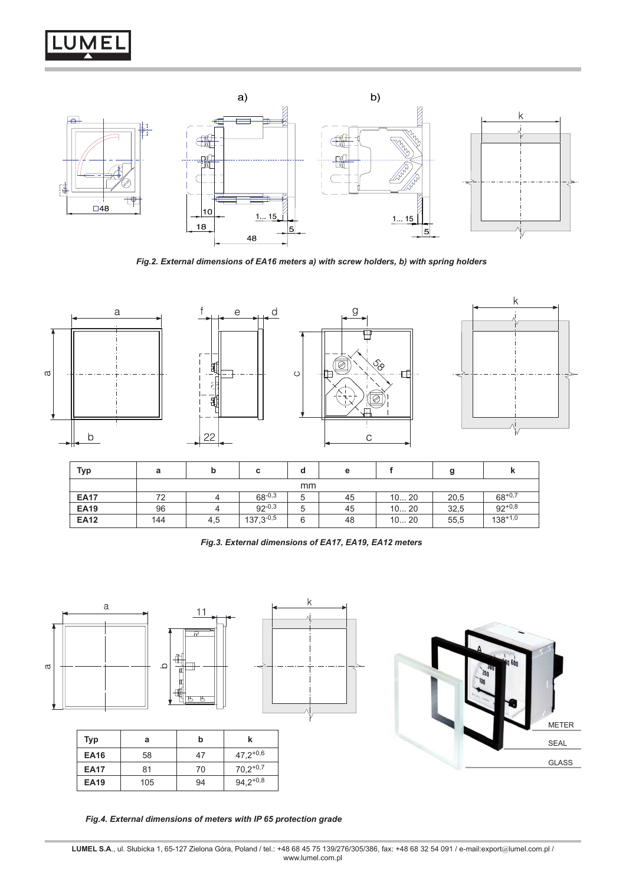



*Fig.2. External dimensions of EA16 meters a) with screw holders, b) with spring holders*



| Typ         | а   |     | с              | ۰Q | е  |       |      |              |
|-------------|-----|-----|----------------|----|----|-------|------|--------------|
|             | mm  |     |                |    |    |       |      |              |
| <b>EA17</b> | 72  |     | $68^{-0.3}$    |    | 45 | 10 20 | 20,5 | $68^{+0,7}$  |
| <b>EA19</b> | 96  |     | $92^{-0.3}$    | b  | 45 | 1020  | 32,5 | $92^{+0.8}$  |
| <b>EA12</b> | 144 | 4,5 | $137,3^{-0.5}$ | 6  | 48 | 10 20 | 55,5 | $138^{+1,0}$ |

*Fig.3. External dimensions of EA17, EA19, EA12 meters*



| Typ         | a   | b  |               |
|-------------|-----|----|---------------|
| <b>EA16</b> | 58  | 47 | $47,2^{+0,6}$ |
| <b>EA17</b> | 81  | 70 | $70,2^{+0.7}$ |
| <b>EA19</b> | 105 | 94 | $94,2^{+0,8}$ |

METER SEAL GLASS

*Fig.4. External dimensions of meters with IP 65 protection grade*